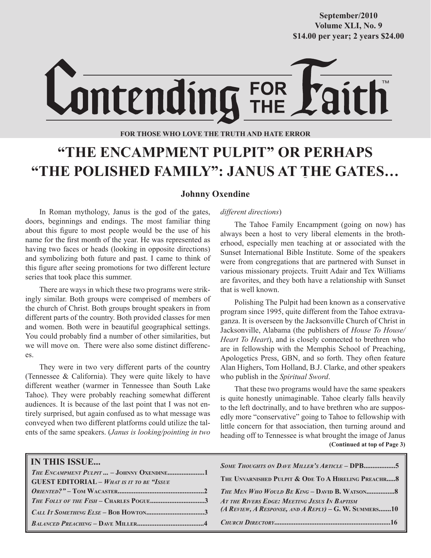**Volume XLI, No. 9 Volume XXXVIII, No. 10 \$14.00 per year; 2 years \$24.00 \$14.00 per year; 2 years \$24.00 September/2010**

# Lontending FOR

**FOR THOSE WHO LOVE THE TRUTH AND HATE ERROR**

# **"THE ENCAMPMENT PULPIT" OR PERHAPS "THE POLISHED FAMILY": JANUS AT THE GATES…**

# **Johnny Oxendine**

In Roman mythology, Janus is the god of the gates, doors, beginnings and endings. The most familiar thing about this figure to most people would be the use of his name for the first month of the year. He was represented as having two faces or heads (looking in opposite directions) and symbolizing both future and past. I came to think of this figure after seeing promotions for two different lecture series that took place this summer.

There are ways in which these two programs were strikingly similar. Both groups were comprised of members of the church of Christ. Both groups brought speakers in from different parts of the country. Both provided classes for men and women. Both were in beautiful geographical settings. You could probably find a number of other similarities, but we will move on. There were also some distinct differences.

They were in two very different parts of the country (Tennessee & California). They were quite likely to have different weather (warmer in Tennessee than South Lake Tahoe). They were probably reaching somewhat different audiences. It is because of the last point that I was not entirely surprised, but again confused as to what message was conveyed when two different platforms could utilize the talents of the same speakers. (*Janus is looking/pointing in two* 

## *different directions*)

The Tahoe Family Encampment (going on now) has always been a host to very liberal elements in the brotherhood, especially men teaching at or associated with the Sunset International Bible Institute. Some of the speakers were from congregations that are partnered with Sunset in various missionary projects. Truitt Adair and Tex Williams are favorites, and they both have a relationship with Sunset that is well known.

Polishing The Pulpit had been known as a conservative program since 1995, quite different from the Tahoe extravaganza. It is overseen by the Jacksonville Church of Christ in Jacksonville, Alabama (the publishers of *House To House/ Heart To Heart*), and is closely connected to brethren who are in fellowship with the Memphis School of Preaching, Apologetics Press, GBN, and so forth. They often feature Alan Highers, Tom Holland, B.J. Clarke, and other speakers who publish in the *Spiritual Sword*.

That these two programs would have the same speakers is quite honestly unimaginable. Tahoe clearly falls heavily to the left doctrinally, and to have brethren who are supposedly more "conservative" going to Tahoe to fellowship with little concern for that association, then turning around and heading off to Tennessee is what brought the image of Janus  **(Continued at top of Page 3)**

| <b>IN THIS ISSUE</b><br>THE ENCAMPMENT PULPIT  - JOHNNY OXENDINE1<br><b>GUEST EDITORIAL - WHAT IS IT TO BE "ISSUE</b> | <b>SOME THOUGHTS ON DAVE MILLER'S ARTICLE - DPB5</b><br>THE UNVARNISHED PULPIT & ODE TO A HIRELING PREACHR 8 |
|-----------------------------------------------------------------------------------------------------------------------|--------------------------------------------------------------------------------------------------------------|
|                                                                                                                       |                                                                                                              |
| THE FOLLY OF THE FISH – CHARLES POGUE3 AT THE RIVERS EDGE: MEETING JESUS IN BAPTISM                                   |                                                                                                              |
|                                                                                                                       | (A REVIEW, A RESPONSE, AND A REPLY) – G. W. SUMMERS10                                                        |
|                                                                                                                       |                                                                                                              |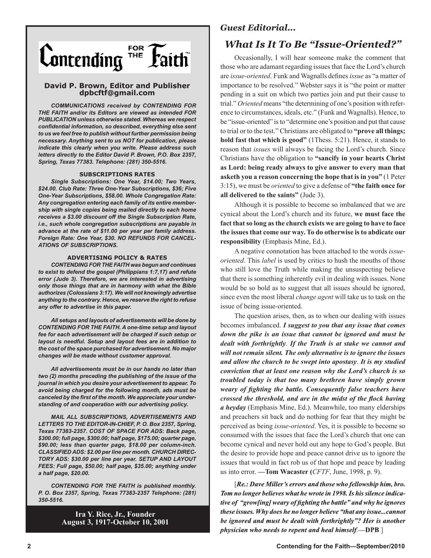

## **David P. Brown, Editor and Publisher dpbcftf@gmail.com**

*COMMUNICATIONS received by CONTENDING FOR THE FAITH and/or its Editors are viewed as intended FOR PUBLICATION unless otherwise stated. Whereas we respect confidential information, so described, everything else sent to us we feel free to publish without further permission being necessary. Anything sent to us NOT for publication, please indicate this clearly when you write. Please address such letters directly to the Editor David P. Brown, P.O. Box 2357, Spring, Texas 77383. Telephone: (281) 350-5516.*

#### **SUBSCRIPTIONS RATES**

*Single Subscriptions: One Year, \$14.00; Two Years, \$24.00. Club Rate: Three One-Year Subscriptions, \$36; Five One-Year Subscriptions, \$58.00. Whole Congregation Rate: Any congregation entering each family of its entire membership with single copies being mailed directly to each home receives a \$3.00 discount off the Single Subscription Rate, i.e., such whole congregation subscriptions are payable in advance at the rate of \$11.00 per year per family address. Foreign Rate: One Year, \$30. NO REFUNDS FOR CANCEL-ATIONS OF SUBSCRIPTIONS.*

### **ADVERTISING POLICY & RATES**

*CONTENDING FOR THE FAITH was begun and continues to exist to defend the gospel (Philippians 1:7,17) and refute error (Jude 3). Therefore, we are interested in advertising only those things that are in harmony with what the Bible authorizes (Colossians 3:17). We will not knowingly advertise anything to the contrary. Hence, we reserve the right to refuse any offer to advertise in this paper.*

*All setups and layouts of advertisements will be done by CONTENDING FOR THE FAITH. A one-time setup and layout fee for each advertisement will be charged if such setup or layout is needful. Setup and layout fees are in addition to the cost of the space purchased for advertisement. No major changes will be made without customer approval.*

*All advertisements must be in our hands no later than two (2) months preceding the publishing of the issue of the journal in which you desire your advertisement to appear. To avoid being charged for the following month, ads must be canceled by the first of the month. We appreciate your understanding of and cooperation with our advertising policy.*

*MAIL ALL SUBSCRIPTIONS, ADVERTISEMENTS AND LETTERS TO THE EDITOR-IN-CHIEF, P. O. Box 2357, Spring, Texas 77383-2357. COST OF SPACE FOR ADS: Back page, \$300.00; full page, \$300.00; half page, \$175.00; quarter page, \$90.00; less than quarter page, \$18.00 per column-inch. CLASSIFIED ADS: \$2.00 per line per month. CHURCH DIREC-TORY ADS: \$30.00 per line per year. SETUP AND LAYOUT FEES: Full page, \$50.00; half page, \$35.00; anything under a half page, \$20.00.*

*CONTENDING FOR THE FAITH is published monthly. P. O. Box 2357, Spring, Texas 77383-2357 Telephone: (281) 350-5516.*

> **Ira Y. Rice, Jr., Founder August 3, 1917-October 10, 2001**

# *Guest Editorial...*

# *What Is It To Be "Issue-Oriented?"*

Occasionally, I will hear someone make the comment that those who are adamant regarding issues that face the Lord's church are *issue-oriented*. Funk and Wagnalls defines *issue* as "a matter of importance to be resolved." Webster says it is "the point or matter pending in a suit on which two parties join and put their cause to trial." *Oriented* means "the determining of one's position with reference to circumstances, ideals, etc." (Funk and Wagnalls). Hence, to be "issue-oriented" is to "determine one's position and put that cause to trial or to the test." Christians are obligated to **"prove all things; hold fast that which is good"** (1Thess. 5:21). Hence, it stands to reason that *issues* will always be facing the Lord's church. Since Christians have the obligation to **"sancify in your hearts Christ as Lord: being ready always to give answer to every man that asketh you a reason concerning the hope that is in you"** (1 Peter 3:15), we must be *oriented* to give a defense of **"the faith once for all delivered to the saints"** (Jude 3).

Although it is possible to become so imbalanced that we are cynical about the Lord's church and its future, **we must face the fact that so long as the church exists we are going to have to face the issues that come our way. To do otherwise is to abdicate our responsibility** (Emphasis Mine, Ed.).

A negative connotation has been attached to the words *issueoriented*. This *label* is used by critics to hush the mouths of those who still love the Truth while making the unsuspecting believe that there is something inherently evil in dealing with issues. None would be so bold as to suggest that all issues should be ignored, since even the most liberal *change agent* will take us to task on the issue of being issue-oriented.

The question arises, then, as to when our dealing with issues becomes imbalanced. *I suggest to you that any issue that comes down the pike is an issue that cannot be ignored and must be dealt with forthrightly*. *If the Truth is at stake we cannot and will not remain silent. The only alternative is to ignore the issues and allow the church to be swept into apostasy*. *It is my studied conviction that at least one reason why the Lord's church is so troubled today is that too many brethren have simply grown weary of fighting the battle. Consequently false teachers have crossed the threshold, and are in the midst of the flock having a heyday* (Emphasis Mine, Ed.). Meanwhile, too many elderships and preachers sit back and do nothing for fear that they might be perceived as being *issue-oriented*. Yes, it is possible to become so consumed with the issues that face the Lord's church that one can become cynical and never hold out any hope to God's people. But the desire to provide hope and peace cannot drive us to ignore the issues that would in fact rob us of that hope and peace by leading us into error. **—Tom Wacaster (***CFTF*, June, 1998, p. 9).

[*Re.: Dave Miller's errors and those who fellowship him, bro. Tom no longer believes what he wrote in 1998.Is hissilence indicative of "grow[ing] weary of fighting the battle" and why he ignores these issues. Why does he no longer believe "that any issue...cannot be ignored and must be dealt with forthrightly"? Her is another physician who needs to repent and heal himself.***—DPB** ]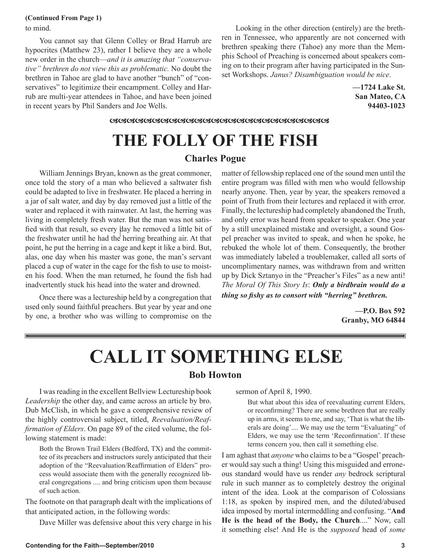## to mind. **(Continued From Page 1)**

You cannot say that Glenn Colley or Brad Harrub are hypocrites (Matthew 23), rather I believe they are a whole new order in the church—*and it is amazing that "conservative" brethren do not view this as problematic.* No doubt the brethren in Tahoe are glad to have another "bunch" of "conservatives" to legitimize their encampment. Colley and Harrub are multi-year attendees in Tahoe, and have been joined in recent years by Phil Sanders and Joe Wells.

Looking in the other direction (entirely) are the brethren in Tennessee, who apparently are not concerned with brethren speaking there (Tahoe) any more than the Memphis School of Preaching is concerned about speakers coming on to their program after having participated in the Sunset Workshops. *Janus? Disambiguation would be nice*.

> **—1724 Lake St. San Mateo, CA 94403-1023**

<u>RRARARARARARARARARARARARARARARAR</u>

# **THE FOLLY OF THE FISH**

# **Charles Pogue**

William Jennings Bryan, known as the great commoner, once told the story of a man who believed a saltwater fish could be adapted to live in freshwater. He placed a herring in a jar of salt water, and day by day removed just a little of the water and replaced it with rainwater. At last, the herring was living in completely fresh water. But the man was not satisfied with that result, so every day he removed a little bit of the freshwater until he had the herring breathing air. At that point, he put the herring in a cage and kept it like a bird. But, alas, one day when his master was gone, the man's servant placed a cup of water in the cage for the fish to use to moisten his food. When the man returned, he found the fish had inadvertently stuck his head into the water and drowned.

Once there was a lectureship held by a congregation that used only sound faithful preachers. But year by year and one by one, a brother who was willing to compromise on the matter of fellowship replaced one of the sound men until the entire program was filled with men who would fellowship nearly anyone. Then, year by year, the speakers removed a point of Truth from their lectures and replaced it with error. Finally, the lectureship had completely abandoned the Truth, and only error was heard from speaker to speaker. One year by a still unexplained mistake and oversight, a sound Gospel preacher was invited to speak, and when he spoke, he rebuked the whole lot of them. Consequently, the brother was immediately labeled a troublemaker, called all sorts of uncomplimentary names, was withdrawn from and written up by Dick Sztanyo in the "Preacher's Files" as a new anti! *The Moral Of This Story Is*: *Only a birdbrain would do a thing so fishy as to consort with "herring" brethren.*

> **—P.O. Box 592 Granby, MO 64844**

# **CALL IT SOMETHING ELSE Bob Howton**

I was reading in the excellent Bellview Lectureship book *Leadership* the other day, and came across an article by bro. Dub McClish, in which he gave a comprehensive review of the highly controversial subject, titled, *Reevaluation/Reaffirmation of Elders*. On page 89 of the cited volume, the following statement is made:

Both the Brown Trail Elders (Bedford, TX) and the committee of its preachers and instructors surely anticipated that their adoption of the "Reevaluation/Reaffirmation of Elders" process would associate them with the generally recognized liberal congregations .... and bring criticism upon them because of such action.

The footnote on that paragraph dealt with the implications of that anticipated action, in the following words:

Dave Miller was defensive about this very charge in his

sermon of April 8, 1990.

But what about this idea of reevaluating current Elders, or reconfirming? There are some brethren that are really up in arms, it seems to me, and say, 'That is what the liberals are doing'.... We may use the term "Evaluating" of Elders, we may use the term 'Reconfirmation'. If these terms concern you, then call it something else.

I am aghast that *anyone* who claims to be a "Gospel' preacher would say such a thing! Using this misguided and erroneous standard would have us render *any* bedrock scriptural rule in such manner as to completely destroy the original intent of the idea. Look at the comparison of Colossians 1:18, as spoken by inspired men, and the diluted/abused idea imposed by mortal intermeddling and confusing. "**And He is the head of the Body, the Church**...." Now, call it something else! And He is the *supposed* head of *some*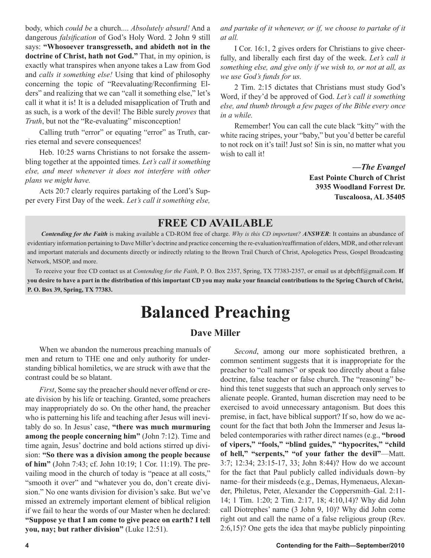body, which *could be* a church.... *Absolutely absurd!* And a dangerous *falsification* of God's Holy Word. 2 John 9 still says: **"Whosoever transgresseth, and abideth not in the doctrine of Christ, hath not God."** That, in my opinion, is exactly what transpires when anyone takes a Law from God and *calls it something else!* Using that kind of philosophy concerning the topic of "Reevaluating/Reconfirming Elders" and realizing that we can "call it something else," let's call it what it is! It is a deluded misapplication of Truth and as such, is a work of the devil! The Bible surely *proves* that *Truth*, but not the "Re-evaluating" misconception!

Calling truth "error" or equating "error" as Truth, carries eternal and severe consequences!

Heb. 10:25 warns Christians to not forsake the assembling together at the appointed times. *Let's call it something else, and meet whenever it does not interfere with other plans we might have.*

Acts 20:7 clearly requires partaking of the Lord's Supper every First Day of the week. *Let's call it something else,* 

*and partake of it whenever, or if, we choose to partake of it at all.*

I Cor. 16:1, 2 gives orders for Christians to give cheerfully, and liberally each first day of the week. *Let's call it something else, and give only if we wish to, or not at all, as we use God's funds for us.*

2 Tim. 2:15 dictates that Christians must study God's Word, if they'd be approved of God. *Let's call it something else, and thumb through a few pages of the Bible every once in a while.* 

Remember! You can call the cute black "kitty" with the white racing stripes, your "baby," but you'd better be careful to not rock on it's tail! Just so! Sin is sin, no matter what you wish to call it!

> **—***The Evangel* **East Pointe Church of Christ 3935 Woodland Forrest Dr. Tuscaloosa, AL 35405**

# **FREE CD AVAILABLE**

*Contending for the Faith* is making available a CD-ROM free of charge. *Why is this CD important? ANSWER*: It contains an abundance of evidentiary information pertaining to Dave Miller's doctrine and practice concerning the re-evaluation/reaffirmation of elders, MDR, and other relevant and important materials and documents directly or indirectly relating to the Brown Trail Church of Christ, Apologetics Press, Gospel Broadcasting Network, MSOP, and more.

 To receive your free CD contact us at *Contending for the Faith*, P. O. Box 2357, Spring, TX 77383-2357, or email us at dpbcftf@gmail.com. **If you desire to have a part in the distribution of this important CD you may make your financial contributions to the Spring Church of Christ, P. O. Box 39, Spring, TX 77383.**

# **Balanced Preaching**

# **Dave Miller**

When we abandon the numerous preaching manuals of men and return to THE one and only authority for understanding biblical homiletics, we are struck with awe that the contrast could be so blatant.

*First*, Some say the preacher should never offend or create division by his life or teaching. Granted, some preachers may inappropriately do so. On the other hand, the preacher who is patterning his life and teaching after Jesus will inevitably do so. In Jesus' case, **"there was much murmuring among the people concerning him"** (John 7:12). Time and time again, Jesus' doctrine and bold actions stirred up division: **"So there was a division among the people because of him"** (John 7:43; cf. John 10:19; 1 Cor. 11:19). The prevailing mood in the church of today is "peace at all costs," "smooth it over" and "whatever you do, don't create division." No one wants division for division's sake. But we've missed an extremely important element of biblical religion if we fail to hear the words of our Master when he declared: **"Suppose ye that I am come to give peace on earth? I tell you, nay; but rather division"** (Luke 12:51).

*Second*, among our more sophisticated brethren, a common sentiment suggests that it is inappropriate for the preacher to "call names" or speak too directly about a false doctrine, false teacher or false church. The "reasoning" behind this tenet suggests that such an approach only serves to alienate people. Granted, human discretion may need to be exercised to avoid unnecessary antagonism. But does this premise, in fact, have biblical support? If so, how do we account for the fact that both John the Immerser and Jesus labeled contemporaries with rather direct names (e.g., **"brood of vipers," "fools," "blind guides," "hypocrites," "child of hell," "serpents," "of your father the devil"**—Matt. 3:7; 12:34; 23:15-17, 33; John 8:44)? How do we account for the fact that Paul publicly called individuals down–by name–for their misdeeds (e.g., Demas, Hymenaeus, Alexander, Philetus, Peter, Alexander the Coppersmith–Gal. 2:11- 14; 1 Tim. 1:20; 2 Tim. 2:17, 18; 4:10,14)? Why did John call Diotrephes' name (3 John 9, 10)? Why did John come right out and call the name of a false religious group (Rev. 2:6,15)? One gets the idea that maybe publicly pinpointing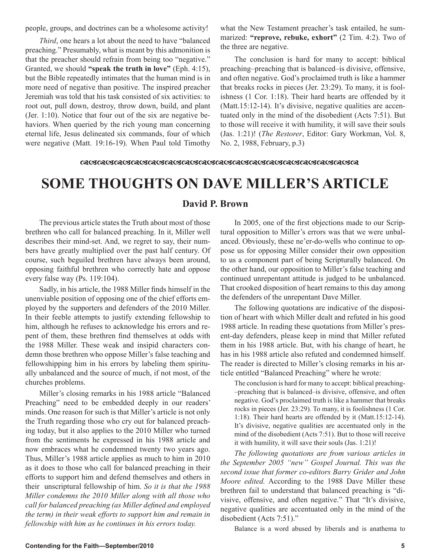people, groups, and doctrines can be a wholesome activity!

*Third*, one hears a lot about the need to have "balanced preaching." Presumably, what is meant by this admonition is that the preacher should refrain from being too "negative." Granted, we should **"speak the truth in love"** (Eph. 4:15), but the Bible repeatedly intimates that the human mind is in more need of negative than positive. The inspired preacher Jeremiah was told that his task consisted of six activities: to root out, pull down, destroy, throw down, build, and plant (Jer. 1:10). Notice that four out of the six are negative behaviors. When queried by the rich young man concerning eternal life, Jesus delineated six commands, four of which were negative (Matt. 19:16-19). When Paul told Timothy what the New Testament preacher's task entailed, he summarized: **"reprove, rebuke, exhort"** (2 Tim. 4:2). Two of the three are negative.

The conclusion is hard for many to accept: biblical preaching–preaching that is balanced–is divisive, offensive, and often negative. God's proclaimed truth is like a hammer that breaks rocks in pieces (Jer. 23:29). To many, it is foolishness (1 Cor. 1:18). Their hard hearts are offended by it (Matt.15:12-14). It's divisive, negative qualities are accentuated only in the mind of the disobedient (Acts 7:51). But to those will receive it with humility, it will save their souls (Jas. 1:21)! (*The Restorer*, Editor: Gary Workman, Vol. 8, No. 2, 1988, February, p.3)

# 

# **SOME THOUGHTS ON DAVE MILLER'S ARTICLE**

# **David P. Brown**

The previous article states the Truth about most of those brethren who call for balanced preaching. In it, Miller well describes their mind-set. And, we regret to say, their numbers have greatly multiplied over the past half century. Of course, such beguiled brethren have always been around, opposing faithful brethren who correctly hate and oppose every false way (Ps. 119:104).

Sadly, in his article, the 1988 Miller finds himself in the unenviable position of opposing one of the chief efforts employed by the supporters and defenders of the 2010 Miller. In their feeble attempts to justify extending fellowship to him, although he refuses to acknowledge his errors and repent of them, these brethren find themselves at odds with the 1988 Miller. These weak and insipid characters condemn those brethren who oppose Miller's false teaching and fellowshipping him in his errors by labeling them spiritually unbalanced and the source of much, if not most, of the churches problems.

Miller's closing remarks in his 1988 article "Balanced Preaching" need to be embedded deeply in our readers' minds. One reason for such is that Miller's article is not only the Truth regarding those who cry out for balanced preaching today, but it also applies to the 2010 Miller who turned from the sentiments he expressed in his 1988 article and now embraces what he condemned twenty two years ago. Thus, Miller's 1988 article applies as much to him in 2010 as it does to those who call for balanced preaching in their efforts to support him and defend themselves and others in their unscriptural fellowship of him. *So it is that the 1988 Miller condemns the 2010 Miller along with all those who call for balanced preaching (as Miller defined and employed the term) in their weak efforts to support him and remain in fellowship with him as he continues in his errors today.*

In 2005, one of the first objections made to our Scriptural opposition to Miller's errors was that we were unbalanced. Obviously, these ne'er-do-wells who continue to oppose us for opposing Miller consider their own opposition to us a component part of being Scripturally balanced. On the other hand, our opposition to Miller's false teaching and continued unrepentant attitude is judged to be unbalanced. That crooked disposition of heart remains to this day among the defenders of the unrepentant Dave Miller.

The following quotations are indicative of the disposition of heart with which Miller dealt and refuted in his good 1988 article. In reading these quotations from Miller's present-day defenders, please keep in mind that Miller refuted them in his 1988 article. But, with his change of heart, he has in his 1988 article also refuted and condemned himself. The reader is directed to Miller's closing remarks in his article entitled "Balanced Preaching" where he wrote:

The conclusion is hard for many to accept: biblical preaching- –preaching that is balanced–is divisive, offensive, and often negative. God's proclaimed truth is like a hammer that breaks rocks in pieces (Jer. 23:29). To many, it is foolishness (1 Cor. 1:18). Their hard hearts are offended by it (Matt.15:12-14). It's divisive, negative qualities are accentuated only in the mind of the disobedient (Acts 7:51). But to those will receive it with humility, it will save their souls (Jas. 1:21)!

*The following quotations are from various articles in the September 2005 "new" Gospel Journal. This was the second issue that former co-editors Barry Grider and John Moore edited.* According to the 1988 Dave Miller these brethren fail to understand that balanced preaching is "divisive, offensive, and often negative." That "It's divisive, negative qualities are accentuated only in the mind of the disobedient (Acts 7:51)."

Balance is a word abused by liberals and is anathema to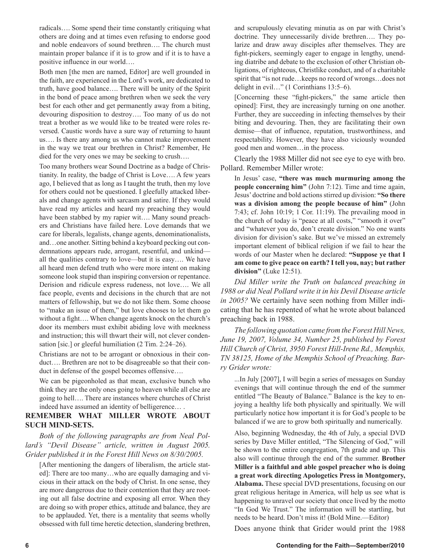radicals…. Some spend their time constantly critiquing what others are doing and at times even refusing to endorse good and noble endeavors of sound brethren…. The church must maintain proper balance if it is to grow and if it is to have a positive influence in our world….

Both men [the men are named, Editor] are well grounded in the faith, are experienced in the Lord's work, are dedicated to truth, have good balance…. There will be unity of the Spirit in the bond of peace among brethren when we seek the very best for each other and get permanently away from a biting, devouring disposition to destroy…. Too many of us do not treat a brother as we would like to be treated were roles reversed. Caustic words have a sure way of returning to haunt us…. Is there any among us who cannot make improvement in the way we treat our brethren in Christ? Remember, He died for the very ones we may be seeking to crush….

Too many brothers wear Sound Doctrine as a badge of Christianity. In reality, the badge of Christ is Love…. A few years ago, I believed that as long as I taught the truth, then my love for others could not be questioned. I gleefully attacked liberals and change agents with sarcasm and satire. If they would have read my articles and heard my preaching they would have been stabbed by my rapier wit…. Many sound preachers and Christians have failed here. Love demands that we care for liberals, legalists, change agents, denominationalists, and…one another. Sitting behind a keyboard pecking out condemnations appears rude, arrogant, resentful, and unkind all the qualities contrary to love—but it is easy…. We have all heard men defend truth who were more intent on making someone look stupid than inspiring conversion or repentance. Derision and ridicule express rudeness, not love…. We all face people, events and decisions in the church that are not matters of fellowship, but we do not like them. Some choose to "make an issue of them," but love chooses to let them go without a fight…. When change agents knock on the church's door its members must exhibit abiding love with meekness and instruction; this will thwart their will, not clever condensation [sic.] or gleeful humiliation (2 Tim. 2:24–26).

Christians are not to be arrogant or obnoxious in their conduct…. Brethren are not to be disagreeable so that their conduct in defense of the gospel becomes offensive….

We can be pigeonholed as that mean, exclusive bunch who think they are the only ones going to heaven while all else are going to hell…. There are instances where churches of Christ indeed have assumed an identity of belligerence… .

# **REMEMBER WHAT MILLER WROTE ABOUT SUCH MIND-SETS.**

*Both of the following paragraphs are from Neal Pollard's "Devil Disease" article, written in August 2005. Grider published it in the Forest Hill News on 8/30/2005.* 

[After mentioning the dangers of liberalism, the article stated]: There are too many…who are equally damaging and vicious in their attack on the body of Christ. In one sense, they are more dangerous due to their contention that they are rooting out all false doctrine and exposing all error. When they are doing so with proper ethics, attitude and balance, they are to be applauded. Yet, there is a mentality that seems wholly obsessed with full time heretic detection, slandering brethren, and scrupulously elevating minutia as on par with Christ's doctrine. They unnecessarily divide brethren…. They polarize and draw away disciples after themselves. They are fight-pickers, seemingly eager to engage in lengthy, unending diatribe and debate to the exclusion of other Christian obligations, of righteous, Christlike conduct, and of a charitable spirit that "is not rude…keeps no record of wrongs…does not delight in evil…" (1 Corinthians 13:5–6).

[Concerning these "fight-pickers," the same article then opined]: First, they are increasingly turning on one another. Further, they are succeeding in infecting themselves by their biting and devouring. Then, they are facilitating their own demise—that of influence, reputation, trustworthiness, and respectability. However, they have also viciously wounded good men and women…in the process.

Clearly the 1988 Miller did not see eye to eye with bro. Pollard. Remember Miller wrote:

In Jesus' case, **"there was much murmuring among the people concerning him"** (John 7:12). Time and time again, Jesus' doctrine and bold actions stirred up division: **"So there was a division among the people because of him"** (John 7:43; cf. John 10:19; 1 Cor. 11:19). The prevailing mood in the church of today is "peace at all costs," "smooth it over" and "whatever you do, don't create division." No one wants division for division's sake. But we've missed an extremely important element of biblical religion if we fail to hear the words of our Master when he declared: **"Suppose ye that I am come to give peace on earth? I tell you, nay; but rather division"** (Luke 12:51).

*Did Miller write the Truth on balanced preaching in 1988 or did Neal Pollard write it in his Devil Disease article in 2005?* We certainly have seen nothing from Miller indicating that he has repented of what he wrote about balanced preaching back in 1988.

*The following quotation came from the Forest Hill News, June 19, 2007, Volume 34, Number 25, published by Forest Hill Church of Christ, 3950 Forest Hill-Irene Rd., Memphis, TN 38125, Home of the Memphis School of Preaching. Barry Grider wrote:*

...In July [2007], I will begin a series of messages on Sunday evenings that will continue through the end of the summer entitled "The Beauty of Balance." Balance is the key to enjoying a healthy life both physically and spiritually. We will particularly notice how important it is for God's people to be balanced if we are to grow both spiritually and numerically.

Also, beginning Wednesday, the 4th of July, a special DVD series by Dave Miller entitled, "The Silencing of God," will be shown to the entire congregation, 7th grade and up. This also will continue through the end of the summer. **Brother Miller is a faithful and able gospel preacher who is doing a great work directing Apologetics Press in Montgomery, Alabama.** These special DVD presentations, focusing on our great religious heritage in America, will help us see what is happening to unravel our society that once lived by the motto "In God We Trust." The information will be startling, but needs to be heard. Don't miss it! (Bold Mine.—Editor)

Does anyone think that Grider would print the 1988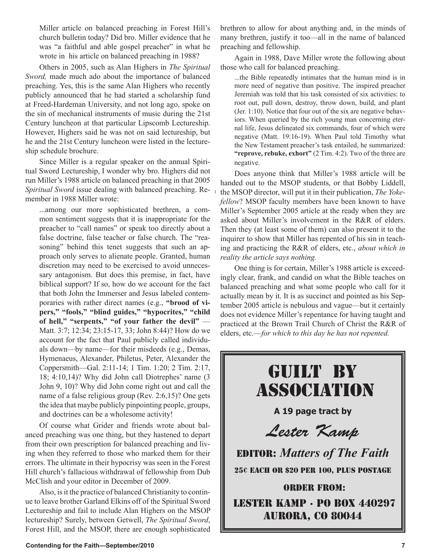Miller article on balanced preaching in Forest Hill's church bulletin today? Did bro. Miller evidence that he was "a faithful and able gospel preacher" in what he wrote in his article on balanced preaching in 1988?

Others in 2005, such as Alan Highers in *The Spiritual Sword,* made much ado about the importance of balanced preaching. Yes, this is the same Alan Highers who recently publicly announced that he had started a scholarship fund at Freed-Hardeman University, and not long ago, spoke on the sin of mechanical instruments of music during the 21st Century luncheon at that particular Lipscomb Lectureship. However, Highers said he was not on said lectureship, but he and the 21st Century luncheon were listed in the lectureship schedule brochure.

Since Miller is a regular speaker on the annual Spiritual Sword Lectureship, I wonder why bro. Highers did not run Miller's 1988 article on balanced preaching in that 2005 *Spiritual Sword* issue dealing with balanced preaching. Remember in 1988 Miller wrote:

...among our more sophisticated brethren, a common sentiment suggests that it is inappropriate for the preacher to "call names" or speak too directly about a false doctrine, false teacher or false church. The "reasoning" behind this tenet suggests that such an approach only serves to alienate people. Granted, human discretion may need to be exercised to avoid unnecessary antagonism. But does this premise, in fact, have biblical support? If so, how do we account for the fact that both John the Immerser and Jesus labeled contemporaries with rather direct names (e.g., **"brood of vipers," "fools," "blind guides," "hypocrites," "child of hell," "serpents," "of your father the devil"** — Matt. 3:7; 12:34; 23:15-17, 33; John 8:44)? How do we account for the fact that Paul publicly called individuals down—by name—for their misdeeds (e.g., Demas, Hymenaeus, Alexander, Philetus, Peter, Alexander the Coppersmith—Gal. 2:11-14; 1 Tim. 1:20; 2 Tim. 2:17, 18; 4:10,14)? Why did John call Diotrephes' name (3 John 9, 10)? Why did John come right out and call the name of a false religious group (Rev. 2:6,15)? One gets the idea that maybe publicly pinpointing people, groups, and doctrines can be a wholesome activity!

Of course what Grider and friends wrote about balanced preaching was one thing, but they hastened to depart from their own prescription for balanced preaching and living when they referred to those who marked them for their errors. The ultimate in their hypocrisy was seen in the Forest Hill church's fallacious withdrawal of fellowship from Dub McClish and your editor in December of 2009.

Also, is it the practice of balanced Christianity to continue to leave brother Garland Elkins off of the Spiritual Sword Lectureship and fail to include Alan Highers on the MSOP lectureship? Surely, between Getwell, *The Spiritual Sword*, Forest Hill, and the MSOP, there are enough sophisticated brethren to allow for about anything and, in the minds of many brethren, justify it too—all in the name of balanced preaching and fellowship.

Again in 1988, Dave Miller wrote the following about those who call for balanced preaching.

...the Bible repeatedly intimates that the human mind is in more need of negative than positive. The inspired preacher Jeremiah was told that his task consisted of six activities: to root out, pull down, destroy, throw down, build, and plant (Jer. 1:10). Notice that four out of the six are negative behaviors. When queried by the rich young man concerning eternal life, Jesus delineated six commands, four of which were negative (Matt. 19:16-19). When Paul told Timothy what the New Testament preacher's task entailed, he summarized: **"reprove, rebuke, exhort"** (2 Tim. 4:2). Two of the three are negative.

Does anyone think that Miller's 1988 article will be handed out to the MSOP students, or that Bobby Liddell, the MSOP director, will put it in their publication, *The Yokefellow*? MSOP faculty members have been known to have Miller's September 2005 article at the ready when they are asked about Miller's involvement in the R&R of elders. Then they (at least some of them) can also present it to the inquirer to show that Miller has repented of his sin in teaching and practicing the R&R of elders, etc., *about which in reality the article says nothing.*

One thing is for certain, Miller's 1988 article is exceedingly clear, frank, and candid on what the Bible teaches on balanced preaching and what some people who call for it actually mean by it. It is as succinct and pointed as his September 2005 article is nebulous and vague—but it certainly does not evidence Miller's repentance for having taught and practiced at the Brown Trail Church of Christ the R&R of elders, etc.—*for which to this day he has not repented.*

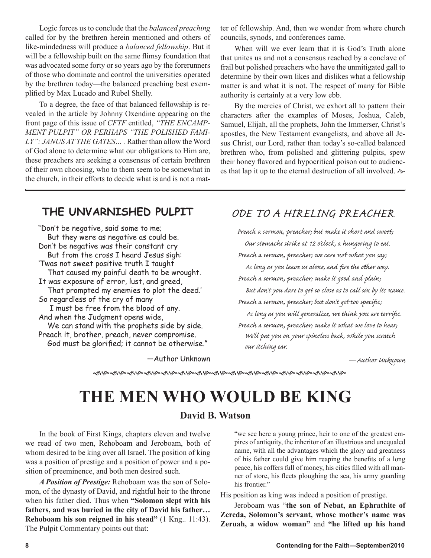Logic forces us to conclude that the *balanced preaching* called for by the brethren herein mentioned and others of like-mindedness will produce a *balanced fellowship*. But it will be a fellowship built on the same flimsy foundation that was advocated some forty or so years ago by the forerunners of those who dominate and control the universities operated by the brethren today—the balanced preaching best exemplified by Max Lucado and Rubel Shelly.

To a degree, the face of that balanced fellowship is revealed in the article by Johnny Oxendine appearing on the front page of this issue of *CFTF* entitled, *"THE ENCAMP-MENT PULPIT" OR PERHAPS "THE POLISHED FAMI-LY": JANUS AT THE GATES… .* Rather than allow the Word of God alone to determine what our obligations to Him are, these preachers are seeking a consensus of certain brethren of their own choosing, who to them seem to be somewhat in the church, in their efforts to decide what is and is not a matter of fellowship. And, then we wonder from where church councils, synods, and conferences came.

When will we ever learn that it is God's Truth alone that unites us and not a consensus reached by a conclave of frail but polished preachers who have the unmitigated gall to determine by their own likes and dislikes what a fellowship matter is and what it is not. The respect of many for Bible authority is certainly at a very low ebb.

By the mercies of Christ, we exhort all to pattern their characters after the examples of Moses, Joshua, Caleb, Samuel, Elijah, all the prophets, John the Immerser, Christ's apostles, the New Testament evangelists, and above all Jesus Christ, our Lord, rather than today's so-called balanced brethren who, from polished and glittering pulpits, spew their honey flavored and hypocritical poison out to audiences that lap it up to the eternal destruction of all involved.

# **THE UNVARNISHED PULPIT**

"Don't be negative, said some to me; But they were as negative as could be. Don't be negative was their constant cry But from the cross I heard Jesus sigh: 'Twas not sweet positive truth I taught That caused my painful death to be wrought. It was exposure of error, lust, and greed, That prompted my enemies to plot the deed.' So regardless of the cry of many I must be free from the blood of any. And when the Judgment opens wide, We can stand with the prophets side by side. Preach it, brother, preach, never compromise.

God must be glorified; it cannot be otherwise."

—Author Unknown

# ODE TO A HIRELING PREACHER

Preach a sermon, preacher; but make it short and sweet; Our stomachs strike at 12 o'clock, a hungering to eat. Preach a sermon, preacher; we care not what you say; As long as you leave us alone, and fire the other way. Preach a sermon, preacher; make it good and plain; But don't you dare to get so close as to call sin by its name. Preach a sermon, preacher; but don't get too specific; As long as you will generalize, we think you are terrific. Preach a sermon, preacher; make it what we love to hear; We'll pat you on your spineless back, while you scratch our itching ear.

—Author Unknown

ଈୄଔଈୠଢ଼୰ଌଢ଼ଌଢ଼ଌଌୠଌଢ଼ଌଌଌଌଌଌଌଌଌଌଌଌଌଌଌଌଌଌଌଌଌଌଢ଼ଢ଼ଢ଼ଢ଼ଢ଼ଢ଼ଢ଼

# **THE MEN WHO WOULD BE KING**

# **David B. Watson**

In the book of First Kings, chapters eleven and twelve we read of two men, Rehoboam and Jeroboam, both of whom desired to be king over all Israel. The position of king was a position of prestige and a position of power and a position of preeminence, and both men desired such.

*A Position of Prestige:* Rehoboam was the son of Solomon, of the dynasty of David, and rightful heir to the throne when his father died. Thus when **"Solomon slept with his fathers, and was buried in the city of David his father… Rehoboam his son reigned in his stead"** (1 Kng.. 11:43). The Pulpit Commentary points out that:

"we see here a young prince, heir to one of the greatest empires of antiquity, the inheritor of an illustrious and unequaled name, with all the advantages which the glory and greatness of his father could give him reaping the benefits of a long peace, his coffers full of money, his cities filled with all manner of store, his fleets ploughing the sea, his army guarding his frontier."

His position as king was indeed a position of prestige.

Jeroboam was "**the son of Nebat, an Ephrathite of Zereda, Solomon's servant, whose mother's name was Zeruah, a widow woman"** and **"he lifted up his hand**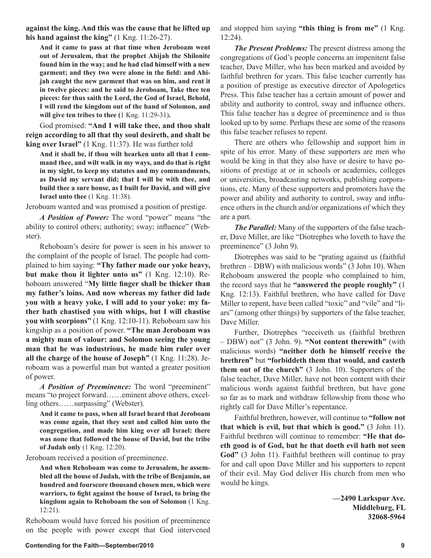**against the king. And this was the cause that he lifted up his hand against the king"** (1 Kng. 11:26-27).

**And it came to pass at that time when Jeroboam went out of Jerusalem, that the prophet Ahijah the Shilonite found him in the way; and he had clad himself with a new garment; and they two were alone in the field: and Ahijah caught the new garment that was on him, and rent it in twelve pieces: and he said to Jeroboam, Take thee ten pieces: for thus saith the Lord, the God of Israel, Behold, I will rend the kingdom out of the hand of Solomon, and will give ten tribes to thee (**1 Kng. 11:29-31)**.**

God promised: **"And I will take thee, and thou shalt reign according to all that thy soul desireth, and shalt be king over Israel"** (1 Kng. 11:37). He was further told

**And it shall be, if thou wilt hearken unto all that I command thee, and wilt walk in my ways, and do that is right in my sight, to keep my statutes and my commandments, as David my servant did; that I will be with thee, and build thee a sure house, as I built for David, and will give Israel unto thee** (1 Kng. 11:38).

Jeroboam wanted and was promised a position of prestige.

*A Position of Power:* The word "power" means "the ability to control others; authority; sway; influence" (Webster).

Rehoboam's desire for power is seen in his answer to the complaint of the people of Israel. The people had complained to him saying: **"Thy father made our yoke heavy, but make thou it lighter unto us"** (1 Kng. 12:10). Rehoboam answered "**My little finger shall be thicker than my father's loins. And now whereas my father did lade you with a heavy yoke, I will add to your yoke: my father hath chastised you with whips, but I will chastise you with scorpions"** (1 Kng. 12:10-11). Rehoboam saw his kingship as a position of power. **"The man Jeroboam was a mighty man of valour: and Solomon seeing the young man that he was industrious, he made him ruler over all the charge of the house of Joseph"** (1 Kng. 11:28). Jeroboam was a powerful man but wanted a greater position of power.

*A Position of Preeminence:* The word "preeminent" means "to project forward……eminent above others, excelling others……surpassing" (Webster).

**And it came to pass, when all Israel heard that Jeroboam was come again, that they sent and called him unto the congregation, and made him king over all Israel: there was none that followed the house of David, but the tribe of Judah only** (1 Kng. 12:20).

Jeroboam received a position of preeminence.

**And when Rehoboam was come to Jerusalem, he assembled all the house of Judah, with the tribe of Benjamin, an hundred and fourscore thousand chosen men, which were warriors, to fight against the house of Israel, to bring the kingdom again to Rehoboam the son of Solomon** (1 Kng. 12:21).

Rehoboam would have forced his position of preeminence on the people with power except that God intervened and stopped him saying **"this thing is from me"** (1 Kng. 12:24).

*The Present Problems:* The present distress among the congregations of God's people concerns an impenitent false teacher, Dave Miller, who has been marked and avoided by faithful brethren for years. This false teacher currently has a position of prestige as executive director of Apologetics Press. This false teacher has a certain amount of power and ability and authority to control, sway and influence others. This false teacher has a degree of preeminence and is thus looked up to by some. Perhaps these are some of the reasons this false teacher refuses to repent.

There are others who fellowship and support him in spite of his error. Many of these supporters are men who would be king in that they also have or desire to have positions of prestige at or in schools or academies, colleges or universities, broadcasting networks, publishing corporations, etc. Many of these supporters and promoters have the power and ability and authority to control, sway and influence others in the church and/or organizations of which they are a part.

*The Parallel:* Many of the supporters of the false teacher, Dave Miller, are like "Diotrephes who loveth to have the preeminence" (3 John 9).

Diotrephes was said to be "prating against us (faithful brethren – DBW) with malicious words" (3 John 10). When Rehoboam answered the people who complained to him, the record says that he **"answered the people roughly"** (1 Kng. 12:13). Faithful brethren, who have called for Dave Miller to repent, have been called "toxic" and "vile" and "liars" (among other things) by supporters of the false teacher, Dave Miller.

Further, Diotrephes "receiveth us (faithful brethren – DBW) not" (3 John. 9). **"Not content therewith"** (with malicious words) **"neither doth he himself receive the brethren"** but **"forbiddeth them that would, and casteth them out of the church"** (3 John. 10). Supporters of the false teacher, Dave Miller, have not been content with their malicious words against faithful brethren, but have gone so far as to mark and withdraw fellowship from those who rightly call for Dave Miller's repentance.

Faithful brethren, however, will continue to **"follow not that which is evil, but that which is good."** (3 John 11). Faithful brethren will continue to remember: **"He that doeth good is of God, but he that doeth evil hath not seen God"** (3 John 11). Faithful brethren will continue to pray for and call upon Dave Miller and his supporters to repent of their evil. May God deliver His church from men who would be kings.

> **—2490 Larkspur Ave. Middleburg, FL 32068-5964**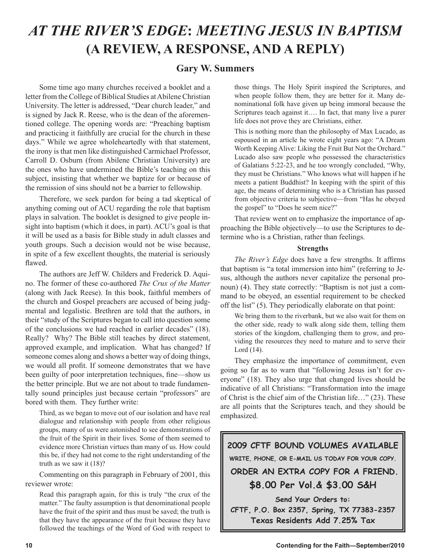# *AT THE RIVER'S EDGE***:** *MEETING JESUS IN BAPTISM* **(A REVIEW, A RESPONSE, AND A REPLY)**

# **Gary W. Summers**

Some time ago many churches received a booklet and a letter from the College of Biblical Studies at Abilene Christian University. The letter is addressed, "Dear church leader," and is signed by Jack R. Reese, who is the dean of the aforementioned college. The opening words are: "Preaching baptism and practicing it faithfully are crucial for the church in these days." While we agree wholeheartedly with that statement, the irony is that men like distinguished Carmichael Professor, Carroll D. Osburn (from Abilene Christian University) are the ones who have undermined the Bible's teaching on this subject, insisting that whether we baptize for or because of the remission of sins should not be a barrier to fellowship.

Therefore, we seek pardon for being a tad skeptical of anything coming out of ACU regarding the role that baptism plays in salvation. The booklet is designed to give people insight into baptism (which it does, in part). ACU's goal is that it will be used as a basis for Bible study in adult classes and youth groups. Such a decision would not be wise because, in spite of a few excellent thoughts, the material is seriously flawed.

The authors are Jeff W. Childers and Frederick D. Aquino. The former of these co-authored *The Crux of the Matter* (along with Jack Reese). In this book, faithful members of the church and Gospel preachers are accused of being judgmental and legalistic. Brethren are told that the authors, in their "study of the Scriptures began to call into question some of the conclusions we had reached in earlier decades" (18). Really? Why? The Bible still teaches by direct statement, approved example, and implication. What has changed? If someone comes along and shows a better way of doing things, we would all profit. If someone demonstrates that we have been guilty of poor interpretation techniques, fine—show us the better principle. But we are not about to trade fundamentally sound principles just because certain "professors" are bored with them. They further write:

Third, as we began to move out of our isolation and have real dialogue and relationship with people from other religious groups, many of us were astonished to see demonstrations of the fruit of the Spirit in their lives. Some of them seemed to evidence more Christian virtues than many of us. How could this be, if they had not come to the right understanding of the truth as we saw it (18)?

Commenting on this paragraph in February of 2001, this reviewer wrote:

Read this paragraph again, for this is truly "the crux of the matter." The faulty assumption is that denominational people have the fruit of the spirit and thus must be saved; the truth is that they have the appearance of the fruit because they have followed the teachings of the Word of God with respect to those things. The Holy Spirit inspired the Scriptures, and when people follow them, they are better for it. Many denominational folk have given up being immoral because the Scriptures teach against it…. In fact, that many live a purer life does not prove they are Christians, either.

This is nothing more than the philosophy of Max Lucado, as espoused in an article he wrote eight years ago: "A Dream Worth Keeping Alive: Liking the Fruit But Not the Orchard." Lucado also saw people who possessed the characteristics of Galatians 5:22-23, and he too wrongly concluded, "Why, they must be Christians." Who knows what will happen if he meets a patient Buddhist? In keeping with the spirit of this age, the means of determining who is a Christian has passed from objective criteria to subjective—from "Has he obeyed the gospel" to "Does he seem nice?"

That review went on to emphasize the importance of approaching the Bible objectively—to use the Scriptures to determine who is a Christian, rather than feelings.

# **Strengths**

*The River's Edge* does have a few strengths. It affirms that baptism is "a total immersion into him" (referring to Jesus, although the authors never capitalize the personal pronoun) (4). They state correctly: "Baptism is not just a command to be obeyed, an essential requirement to be checked off the list" (5). They periodically elaborate on that point:

We bring them to the riverbank, but we also wait for them on the other side, ready to walk along side them, telling them stories of the kingdom, challenging them to grow, and providing the resources they need to mature and to serve their Lord (14).

They emphasize the importance of commitment, even going so far as to warn that "following Jesus isn't for everyone" (18). They also urge that changed lives should be indicative of all Christians: "Transformation into the image of Christ is the chief aim of the Christian life…" (23). These are all points that the Scriptures teach, and they should be emphasized.



**CFTF, P.O. Box 2357, Spring, TX 77383-2357 Texas Residents Add 7.25% Tax**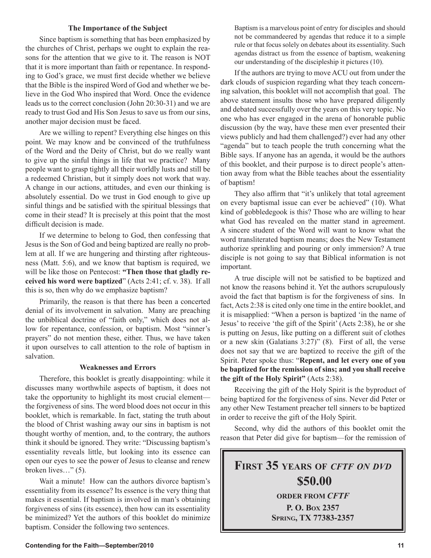# **The Importance of the Subject**

Since baptism is something that has been emphasized by the churches of Christ, perhaps we ought to explain the reasons for the attention that we give to it. The reason is NOT that it is more important than faith or repentance. In responding to God's grace, we must first decide whether we believe that the Bible is the inspired Word of God and whether we believe in the God Who inspired that Word. Once the evidence leads us to the correct conclusion (John 20:30-31) and we are ready to trust God and His Son Jesus to save us from our sins, another major decision must be faced.

Are we willing to repent? Everything else hinges on this point. We may know and be convinced of the truthfulness of the Word and the Deity of Christ, but do we really want to give up the sinful things in life that we practice? Many people want to grasp tightly all their worldly lusts and still be a redeemed Christian, but it simply does not work that way. A change in our actions, attitudes, and even our thinking is absolutely essential. Do we trust in God enough to give up sinful things and be satisfied with the spiritual blessings that come in their stead? It is precisely at this point that the most difficult decision is made.

If we determine to belong to God, then confessing that Jesus is the Son of God and being baptized are really no problem at all. If we are hungering and thirsting after righteousness (Matt. 5:6), and we know that baptism is required, we will be like those on Pentecost: **"Then those that gladly received his word were baptized**" (Acts 2:41; cf. v. 38). If all this is so, then why do we emphasize baptism?

Primarily, the reason is that there has been a concerted denial of its involvement in salvation. Many are preaching the unbiblical doctrine of "faith only," which does not allow for repentance, confession, or baptism. Most "sinner's prayers" do not mention these, either. Thus, we have taken it upon ourselves to call attention to the role of baptism in salvation.

## **Weaknesses and Errors**

Therefore, this booklet is greatly disappointing: while it discusses many worthwhile aspects of baptism, it does not take the opportunity to highlight its most crucial element the forgiveness of sins. The word blood does not occur in this booklet, which is remarkable. In fact, stating the truth about the blood of Christ washing away our sins in baptism is not thought worthy of mention, and, to the contrary, the authors think it should be ignored. They write: "Discussing baptism's essentiality reveals little, but looking into its essence can open our eyes to see the power of Jesus to cleanse and renew broken lives…" (5).

Wait a minute! How can the authors divorce baptism's essentiality from its essence? Its essence is the very thing that makes it essential. If baptism is involved in man's obtaining forgiveness of sins (its essence), then how can its essentiality be minimized? Yet the authors of this booklet do minimize baptism. Consider the following two sentences.

Baptism is a marvelous point of entry for disciples and should not be commandeered by agendas that reduce it to a simple rule or that focus solely on debates about its essentiality. Such agendas distract us from the essence of baptism, weakening our understanding of the discipleship it pictures (10).

If the authors are trying to move ACU out from under the dark clouds of suspicion regarding what they teach concerning salvation, this booklet will not accomplish that goal. The above statement insults those who have prepared diligently and debated successfully over the years on this very topic. No one who has ever engaged in the arena of honorable public discussion (by the way, have these men ever presented their views publicly and had them challenged?) ever had any other "agenda" but to teach people the truth concerning what the Bible says. If anyone has an agenda, it would be the authors of this booklet, and their purpose is to direct people's attention away from what the Bible teaches about the essentiality of baptism!

They also affirm that "it's unlikely that total agreement on every baptismal issue can ever be achieved" (10). What kind of gobbledegook is this? Those who are willing to hear what God has revealed on the matter stand in agreement. A sincere student of the Word will want to know what the word transliterated baptism means; does the New Testament authorize sprinkling and pouring or only immersion? A true disciple is not going to say that Biblical information is not important.

A true disciple will not be satisfied to be baptized and not know the reasons behind it. Yet the authors scrupulously avoid the fact that baptism is for the forgiveness of sins. In fact, Acts 2:38 is cited only one time in the entire booklet, and it is misapplied: "When a person is baptized 'in the name of Jesus' to receive 'the gift of the Spirit' (Acts 2:38), he or she is putting on Jesus, like putting on a different suit of clothes or a new skin (Galatians 3:27)" (8). First of all, the verse does not say that we are baptized to receive the gift of the Spirit. Peter spoke thus: "**Repent, and let every one of you be baptized for the remission of sins; and you shall receive the gift of the Holy Spirit"** (Acts 2:38).

Receiving the gift of the Holy Spirit is the byproduct of being baptized for the forgiveness of sins. Never did Peter or any other New Testament preacher tell sinners to be baptized in order to receive the gift of the Holy Spirit.

Second, why did the authors of this booklet omit the reason that Peter did give for baptism—for the remission of

**FIRST 35 YEARS OF** *CFTF ON DVD* **\$50.00 ORDER FROM** *CFTF* **P. O. BOX 2357 SPRING, TX 77383-2357**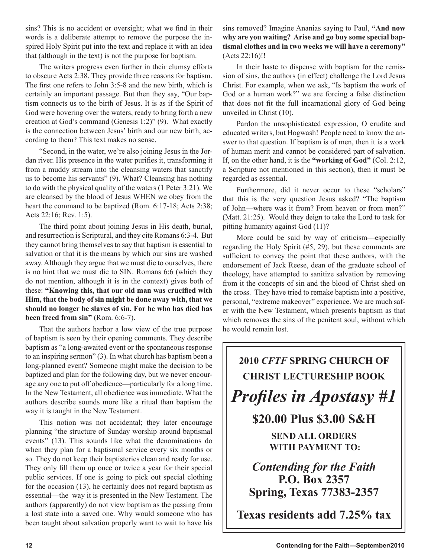sins? This is no accident or oversight; what we find in their words is a deliberate attempt to remove the purpose the inspired Holy Spirit put into the text and replace it with an idea that (although in the text) is not the purpose for baptism.

The writers progress even further in their clumsy efforts to obscure Acts 2:38. They provide three reasons for baptism. The first one refers to John 3:5-8 and the new birth, which is certainly an important passage. But then they say, "Our baptism connects us to the birth of Jesus. It is as if the Spirit of God were hovering over the waters, ready to bring forth a new creation at God's command (Genesis 1:2)" (9). What exactly is the connection between Jesus' birth and our new birth, according to them? This text makes no sense.

"Second, in the water, we're also joining Jesus in the Jordan river. His presence in the water purifies it, transforming it from a muddy stream into the cleansing waters that sanctify us to become his servants" (9). What? Cleansing has nothing to do with the physical quality of the waters (1 Peter 3:21). We are cleansed by the blood of Jesus WHEN we obey from the heart the command to be baptized (Rom. 6:17-18; Acts 2:38; Acts 22:16; Rev. 1:5).

The third point about joining Jesus in His death, burial, and resurrection is Scriptural, and they cite Romans 6:3-4. But they cannot bring themselves to say that baptism is essential to salvation or that it is the means by which our sins are washed away. Although they argue that we must die to ourselves, there is no hint that we must die to SIN. Romans 6:6 (which they do not mention, although it is in the context) gives both of these: **"Knowing this, that our old man was crucified with Him, that the body of sin might be done away with, that we should no longer be slaves of sin, For he who has died has been freed from sin"** (Rom. 6:6-7).

That the authors harbor a low view of the true purpose of baptism is seen by their opening comments. They describe baptism as "a long-awaited event or the spontaneous response to an inspiring sermon" (3). In what church has baptism been a long-planned event? Someone might make the decision to be baptized and plan for the following day, but we never encourage any one to put off obedience—particularly for a long time. In the New Testament, all obedience was immediate. What the authors describe sounds more like a ritual than baptism the way it is taught in the New Testament.

This notion was not accidental; they later encourage planning "the structure of Sunday worship around baptismal events" (13). This sounds like what the denominations do when they plan for a baptismal service every six months or so. They do not keep their baptisteries clean and ready for use. They only fill them up once or twice a year for their special public services. If one is going to pick out special clothing for the occasion (13), he certainly does not regard baptism as essential—the way it is presented in the New Testament. The authors (apparently) do not view baptism as the passing from a lost state into a saved one. Why would someone who has been taught about salvation properly want to wait to have his

sins removed? Imagine Ananias saying to Paul, **"And now why are you waiting? Arise and go buy some special baptismal clothes and in two weeks we will have a ceremony"** (Acts 22:16)!!

In their haste to dispense with baptism for the remission of sins, the authors (in effect) challenge the Lord Jesus Christ. For example, when we ask, "Is baptism the work of God or a human work?" we are forcing a false distinction that does not fit the full incarnational glory of God being unveiled in Christ (10).

Pardon the unsophisticated expression, O erudite and educated writers, but Hogwash! People need to know the answer to that question. If baptism is of men, then it is a work of human merit and cannot be considered part of salvation. If, on the other hand, it is the **"working of God"** (Col. 2:12, a Scripture not mentioned in this section), then it must be regarded as essential.

Furthermore, did it never occur to these "scholars" that this is the very question Jesus asked? "The baptism of John—where was it from? From heaven or from men?" (Matt. 21:25). Would they deign to take the Lord to task for pitting humanity against God (11)?

More could be said by way of criticism—especially regarding the Holy Spirit (#5, 29), but these comments are sufficient to convey the point that these authors, with the endorsement of Jack Reese, dean of the graduate school of theology, have attempted to sanitize salvation by removing from it the concepts of sin and the blood of Christ shed on the cross. They have tried to remake baptism into a positive, personal, "extreme makeover" experience. We are much safer with the New Testament, which presents baptism as that which removes the sins of the penitent soul, without which he would remain lost.

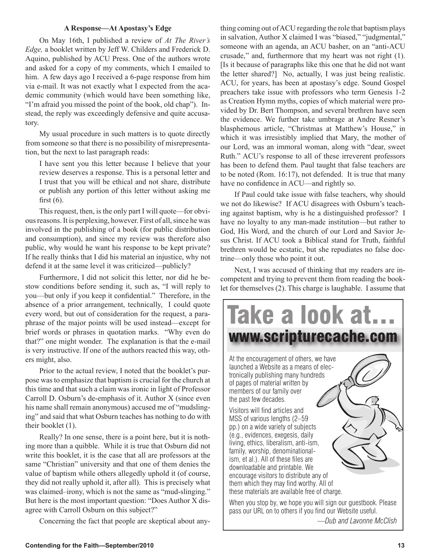# **A Response—At Apostasy's Edge**

On May 16th, I published a review of *At The River's Edge,* a booklet written by Jeff W. Childers and Frederick D. Aquino, published by ACU Press. One of the authors wrote and asked for a copy of my comments, which I emailed to him. A few days ago I received a 6-page response from him via e-mail. It was not exactly what I expected from the academic community (which would have been something like, "I'm afraid you missed the point of the book, old chap"). Instead, the reply was exceedingly defensive and quite accusatory.

My usual procedure in such matters is to quote directly from someone so that there is no possibility of misrepresentation, but the next to last paragraph reads:

I have sent you this letter because I believe that your review deserves a response. This is a personal letter and I trust that you will be ethical and not share, distribute or publish any portion of this letter without asking me first  $(6)$ .

This request, then, is the only part I will quote—for obvious reasons. It is perplexing, however. First of all, since he was involved in the publishing of a book (for public distribution and consumption), and since my review was therefore also public, why would he want his response to be kept private? If he really thinks that I did his material an injustice, why not defend it at the same level it was criticized—publicly?

Furthermore, I did not solicit this letter, nor did he bestow conditions before sending it, such as, "I will reply to you—but only if you keep it confidential." Therefore, in the absence of a prior arrangement, technically, I could quote every word, but out of consideration for the request, a paraphrase of the major points will be used instead—except for brief words or phrases in quotation marks. "Why even do that?" one might wonder. The explanation is that the e-mail is very instructive. If one of the authors reacted this way, others might, also.

Prior to the actual review, I noted that the booklet's purpose was to emphasize that baptism is crucial for the church at this time and that such a claim was ironic in light of Professor Carroll D. Osburn's de-emphasis of it. Author X (since even his name shall remain anonymous) accused me of "mudslinging" and said that what Osburn teaches has nothing to do with their booklet (1).

Really? In one sense, there is a point here, but it is nothing more than a quibble. While it is true that Osburn did not write this booklet, it is the case that all are professors at the same "Christian" university and that one of them denies the value of baptism while others allegedly uphold it (of course, they did not really uphold it, after all). This is precisely what was claimed–irony, which is not the same as "mud-slinging." But here is the most important question: "Does Author X disagree with Carroll Osburn on this subject?"

Concerning the fact that people are skeptical about any-

thing coming out of ACU regarding the role that baptism plays in salvation, Author X claimed I was "biased," "judgmental," someone with an agenda, an ACU basher, on an "anti-ACU crusade," and, furthermore that my heart was not right (1). [Is it because of paragraphs like this one that he did not want the letter shared?] No, actually, I was just being realistic. ACU, for years, has been at apostasy's edge. Sound Gospel preachers take issue with professors who term Genesis 1-2 as Creation Hymn myths, copies of which material were provided by Dr. Bert Thompson, and several brethren have seen the evidence. We further take umbrage at Andre Resner's blasphemous article, "Christmas at Matthew's House," in which it was irresistibly implied that Mary, the mother of our Lord, was an immoral woman, along with "dear, sweet Ruth." ACU's response to all of these irreverent professors has been to defend them. Paul taught that false teachers are to be noted (Rom. 16:17), not defended. It is true that many have no confidence in ACU—and rightly so.

If Paul could take issue with false teachers, why should we not do likewise? If ACU disagrees with Osburn's teaching against baptism, why is he a distinguished professor? I have no loyalty to any man-made institution—but rather to God, His Word, and the church of our Lord and Savior Jesus Christ. If ACU took a Biblical stand for Truth, faithful brethren would be ecstatic, but she repudiates no false doctrine—only those who point it out.

Next, I was accused of thinking that my readers are incompetent and trying to prevent them from reading the booklet for themselves (2). This charge is laughable. I assume that



*—Dub and Lavonne McClish*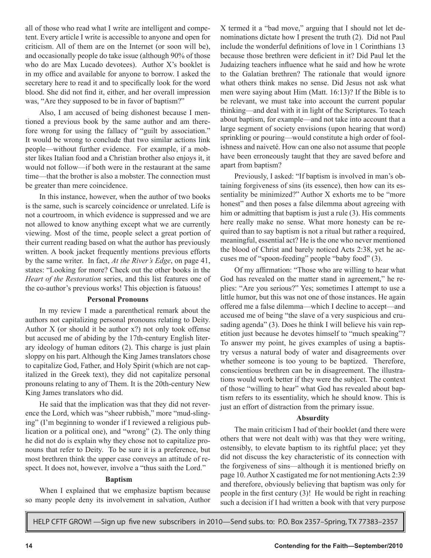all of those who read what I write are intelligent and competent. Every article I write is accessible to anyone and open for criticism. All of them are on the Internet (or soon will be), and occasionally people do take issue (although 90% of those who do are Max Lucado devotees). Author X's booklet is in my office and available for anyone to borrow. I asked the secretary here to read it and to specifically look for the word blood. She did not find it, either, and her overall impression was, "Are they supposed to be in favor of baptism?"

Also, I am accused of being dishonest because I mentioned a previous book by the same author and am therefore wrong for using the fallacy of "guilt by association." It would be wrong to conclude that two similar actions link people—without further evidence. For example, if a mobster likes Italian food and a Christian brother also enjoys it, it would not follow—if both were in the restaurant at the same time—that the brother is also a mobster. The connection must be greater than mere coincidence.

In this instance, however, when the author of two books is the same, such is scarcely coincidence or unrelated. Life is not a courtroom, in which evidence is suppressed and we are not allowed to know anything except what we are currently viewing. Most of the time, people select a great portion of their current reading based on what the author has previously written. A book jacket frequently mentions previous efforts by the same writer. In fact, *At the River's Edge*, on page 41, states: "Looking for more? Check out the other books in the *Heart of the Restoration* series, and this list features one of the co-author's previous works! This objection is fatuous!

## **Personal Pronouns**

In my review I made a parenthetical remark about the authors not capitalizing personal pronouns relating to Deity. Author  $X$  (or should it be author  $x$ ?) not only took offense but accused me of abiding by the 17th-century English literary ideology of human editors (2). This charge is just plain sloppy on his part. Although the King James translators chose to capitalize God, Father, and Holy Spirit (which are not capitalized in the Greek text), they did not capitalize personal pronouns relating to any of Them. It is the 20th-century New King James translators who did.

He said that the implication was that they did not reverence the Lord, which was "sheer rubbish," more "mud-slinging" (I'm beginning to wonder if I reviewed a religious publication or a political one), and "wrong" (2). The only thing he did not do is explain why they chose not to capitalize pronouns that refer to Deity. To be sure it is a preference, but most brethren think the upper case conveys an attitude of respect. It does not, however, involve a "thus saith the Lord."

## **Baptism**

When I explained that we emphasize baptism because so many people deny its involvement in salvation, Author X termed it a "bad move," arguing that I should not let denominations dictate how I present the truth (2). Did not Paul include the wonderful definitions of love in 1 Corinthians 13 because those brethren were deficient in it? Did Paul let the Judaizing teachers influence what he said and how he wrote to the Galatian brethren? The rationale that would ignore what others think makes no sense. Did Jesus not ask what men were saying about Him (Matt. 16:13)? If the Bible is to be relevant, we must take into account the current popular thinking—and deal with it in light of the Scriptures. To teach about baptism, for example—and not take into account that a large segment of society envisions (upon hearing that word) sprinkling or pouring—would constitute a high order of foolishness and naiveté. How can one also not assume that people have been erroneously taught that they are saved before and apart from baptism?

Previously, I asked: "If baptism is involved in man's obtaining forgiveness of sins (its essence), then how can its essentiality be minimized?" Author X exhorts me to be "more honest" and then poses a false dilemma about agreeing with him or admitting that baptism is just a rule (3). His comments here really make no sense. What more honesty can be required than to say baptism is not a ritual but rather a required, meaningful, essential act? He is the one who never mentioned the blood of Christ and barely noticed Acts 2:38, yet he accuses me of "spoon-feeding" people "baby food" (3).

Of my affirmation: "Those who are willing to hear what God has revealed on the matter stand in agreement," he replies: "Are you serious?" Yes; sometimes I attempt to use a little humor, but this was not one of those instances. He again offered me a false dilemma—which I decline to accept—and accused me of being "the slave of a very suspicious and crusading agenda" (3). Does he think I will believe his vain repetition just because he devotes himself to "much speaking"? To answer my point, he gives examples of using a baptistry versus a natural body of water and disagreements over whether someone is too young to be baptized. Therefore, conscientious brethren can be in disagreement. The illustrations would work better if they were the subject. The context of those "willing to hear" what God has revealed about baptism refers to its essentiality, which he should know. This is just an effort of distraction from the primary issue.

# **Absurdity**

The main criticism I had of their booklet (and there were others that were not dealt with) was that they were writing, ostensibly, to elevate baptism to its rightful place; yet they did not discuss the key characteristic of its connection with the forgiveness of sins—although it is mentioned briefly on page 10. Author X castigated me for not mentioning Acts 2:39 and therefore, obviously believing that baptism was only for people in the first century (3)! He would be right in reaching such a decision if I had written a book with that very purpose

HELP CFTF GROW! —Sign up five new subscribers in 2010—Send subs. to: P.O. Box 2357–Spring, TX 77383–2357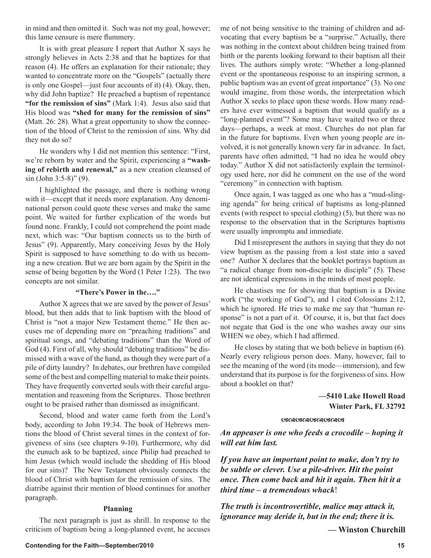in mind and then omitted it. Such was not my goal, however; this lame censure is mere flummery.

It is with great pleasure I report that Author X says he strongly believes in Acts 2:38 and that he baptizes for that reason (4). He offers an explanation for their rationale; they wanted to concentrate more on the "Gospels" (actually there is only one Gospel—just four accounts of it) (4). Okay, then, why did John baptize? He preached a baptism of repentance **"for the remission of sins"** (Mark 1:4). Jesus also said that His blood was **"shed for many for the remission of sins"** (Matt. 26: 28). What a great opportunity to show the connection of the blood of Christ to the remission of sins. Why did they not do so?

He wonders why I did not mention this sentence: "First, we're reborn by water and the Spirit, experiencing a **"washing of rebirth and renewal,"** as a new creation cleansed of sin (John 3:5-8)" (9).

I highlighted the passage, and there is nothing wrong with it—except that it needs more explanation. Any denominational person could quote these verses and make the same point. We waited for further explication of the words but found none. Frankly, I could not comprehend the point made next, which was: "Our baptism connects us to the birth of Jesus" (9). Apparently, Mary conceiving Jesus by the Holy Spirit is supposed to have something to do with us becoming a new creation. But we are born again by the Spirit in the sense of being begotten by the Word (1 Peter 1:23). The two concepts are not similar.

# **"There's Power in the…."**

Author X agrees that we are saved by the power of Jesus' blood, but then adds that to link baptism with the blood of Christ is "not a major New Testament theme." He then accuses me of depending more on "preaching traditions" and spiritual songs, and "debating traditions" than the Word of God (4). First of all, why should "debating traditions" be dismissed with a wave of the hand, as though they were part of a pile of dirty laundry? In debates, our brethren have compiled some of the best and compelling material to make their points. They have frequently converted souls with their careful argumentation and reasoning from the Scriptures. Those brethren ought to be praised rather than dismissed as insignificant.

Second, blood and water came forth from the Lord's body, according to John 19:34. The book of Hebrews mentions the blood of Christ several times in the context of forgiveness of sins (see chapters 9-10). Furthermore, why did the eunuch ask to be baptized, since Philip had preached to him Jesus (which would include the shedding of His blood for our sins)? The New Testament obviously connects the blood of Christ with baptism for the remission of sins. The diatribe against their mention of blood continues for another paragraph.

# **Planning**

The next paragraph is just as shrill. In response to the criticism of baptism being a long-planned event, he accuses

me of not being sensitive to the training of children and advocating that every baptism be a "surprise." Actually, there was nothing in the context about children being trained from birth or the parents looking forward to their baptism all their lives. The authors simply wrote: "Whether a long-planned event or the spontaneous response to an inspiring sermon, a public baptism was an event of great importance" (3). No one would imagine, from those words, the interpretation which Author X seeks to place upon these words. How many readers have ever witnessed a baptism that would qualify as a "long-planned event"? Some may have waited two or three days—perhaps, a week at most. Churches do not plan far in the future for baptisms. Even when young people are involved, it is not generally known very far in advance. In fact, parents have often admitted, "I had no idea he would obey today." Author X did not satisfactorily explain the terminology used here, nor did he comment on the use of the word "ceremony" in connection with baptism.

Once again, I was tagged as one who has a "mud-slinging agenda" for being critical of baptisms as long-planned events (with respect to special clothing) (5), but there was no response to the observation that in the Scriptures baptisms were usually impromptu and immediate.

Did I misrepresent the authors in saying that they do not view baptism as the passing from a lost state into a saved one? Author X declares that the booklet portrays baptism as "a radical change from non-disciple to disciple" (5). These are not identical expressions in the minds of most people.

He chastises me for showing that baptism is a Divine work ("the working of God"), and I cited Colossians 2:12, which he ignored. He tries to make me say that "human response" is not a part of it. Of course, it is, but that fact does not negate that God is the one who washes away our sins WHEN we obey, which I had affirmed.

He closes by stating that we both believe in baptism (6). Nearly every religious person does. Many, however, fail to see the meaning of the word (its mode—immersion), and few understand that its purpose is for the forgiveness of sins. How about a booklet on that?

# **—5410 Lake Howell Road Winter Park, FL 32792**

## **GRAGGARAR CARGE**

*An appeaser is one who feeds a crocodile – hoping it will eat him last.*

*If you have an important point to make, don't try to be subtle or clever. Use a pile-driver. Hit the point once. Then come back and hit it again. Then hit it a third time – a tremendous whack*!

*The truth is incontrovertible, malice may attack it, ignorance may deride it, but in the end; there it is.*

**— Winston Churchill**